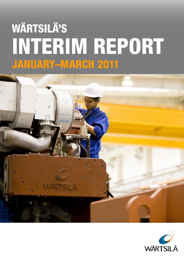# **WÄRTSILÄ'S INTERIM REPORT JANUARY-MARCH 2011**



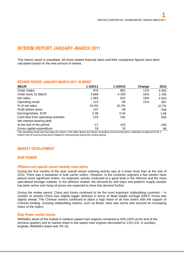# **INTERIM REPORT JANUARY–MARCH 2011**

This interim report is unaudited. All share related financial ratios and their comparison figures have been calculated based on the new amount of shares.

#### **REVIEW PERIOD JANUARY-MARCH 2011 IN BRIEF MEUR 1-3/2011 1-3/2010 Change 2010** Order intake 2005 and the set of the set of the set of the set of the set of the set of the set of the set of t Order book 31 March 2008 10 2009 10:00:00 3 669 2009 10:00:00:00 4 330 2010 15% 2 3 795 Net sales 1083 1083 922 18% 4 553 Operating result 113 000 113 21% 487<br>  $\%$  of net sales 10.4% 10.4% 10.2% 10.7% % of net sales 10.4% 10.2% 10.7% Profit before taxes 648 and the set of the set of the set of the set of the set of the set of the set of the set of the set of the set of the set of the set of the set of the set of the set of the set of the set of the set Earnings/share, EUR 0.38 0.34 1.68 Cash flow from operating activities 133 181 181 663 Net interest-bearing debt at the end of the period at the end of the period case of the period case of the period case of the period case of the  $-165$ Gross capital expenditure 19 15 98

The operating result and earnings per share in the table above are shown excluding nonrecurring items. Wärtsilä recognised EUR 2 million (44) of nonrecurring items related to restructuring during the review period.

# **MARKET DEVELOPMENT**

# **SHIP POWER**

#### **Offshore and special vessel markets most active**

During the first months of the year overall vessel ordering activity was at a lower level than at the end of 2010. There was a slowdown in bulk carrier orders. However, in the container segment a few owners have placed some significant orders. As expected, activity continued at a good level in the offshore and the more specialised tonnage markets. In the offshore market, the demand for drill ships and platform supply vessels has been active and rising oil prices are expected to drive that demand further.

During the review period, China and Korea continued to be the most important shipbuilding countries – in number of vessels China was slightly bigger whereas in terms of dead weight tonnage (DWT) Korea was slightly ahead. The Chinese owners continued to place a high share of all new orders with the support of Chinese funding. Growing shipbuilding nations, such as Brazil, were also active and secured an increasing share of the orders.

#### **Ship Power market shares**

Wärtsilä's share of the market in medium speed main engines remained at 42% (42% at the end of the previous quarter) and its market share in low speed main engines decreased to 11% (13). In auxiliary engines, Wärtsilä's share was 3% (4).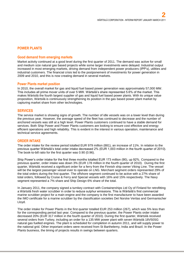# **POWER PLANTS**

# **Good demand from emerging markets**

Market activity continued at a good level during the first quarter of 2011. The demand was active for small and medium size natural gas based projects while some larger investments were delayed. Industrial output increased in most emerging markets, driving demand from independent power producers (IPP's), utilities and industrial customers. The financial crisis led to the postponement of investments for power generation in 2009 and 2010, and this is now creating demand in several markets.

#### **Power Plants market position**

In 2010, the overall market for gas and liquid fuel based power generation was approximately 57,000 MW. This includes all prime mover units of over 5 MW. Wärtsilä's share represented 5.6% of the market. This makes Wärtsilä the fourth largest supplier of gas and liquid fuel based power plants. With its unique value proposition, Wärtsilä is continuously strengthening its position in the gas based power plant market by capturing market share from other technologies.

# **SERVICES**

The service market is showing signs of growth. The number of idle vessels was on a lower level than during the previous year. However, the average speed of the fleet has continued to decrease and the number of anchored vessels was still at a high level. Power Plants customers continued to have a stable demand for services. Both Ship Power and Power Plants customers are looking to ensure cost effective and energy efficient operations and high reliability. This is evident in the interest in various operation, maintenance and technical service agreements.

# **ORDER INTAKE**

The order intake for the review period totalled EUR 979 million (881), an increase of 11%. In relation to the previous quarter Wärtsilä's total order intake decreased 2% (EUR 1,003 million in the fourth quarter of 2010). The book-to-bill ratio for the first quarter was 0.90 (0.96).

Ship Power's order intake for the first three months totalled EUR 173 million (90), up 92%. Compared to the previous quarter, order intake was down 3% (EUR 178 million in the fourth quarter of 2010). During the first quarter, Wärtsilä received a significant order for a ferry from the Finnish ship owner Viking Line. The vessel will be the largest passenger vessel ever to operate on LNG. Merchant segment orders represented 29% of the total orders during the first quarter. The offshore segment continued to be active with a 27% share of total orders, followed by Cruise & Ferry and Special vessels with 16% and 15% respectively. The Navy segment represented a 7% share and Ship Design 6% share of the total.

In January 2011, the company signed a turnkey contract with Containerships Ltd Oy of Finland for retrofitting a Wärtsilä fresh water scrubber in order to reduce sulphur emissions. This is Wärtsilä's first commercial marine scrubber project for a main engine and the company is the first manufacturer to have been awarded the IMO certificate for a marine scrubber by the classification societies Det Norske Veritas and Germanischer Lloyd.

The order intake for Power Plants in the first quarter totalled EUR 253 million (267), which was 5% less than for the corresponding period last year. Compared to the previous quarter, the Power Plants order intake decreased 20% (EUR 317 million in the fourth quarter of 2010). During the first quarter, Wärtsilä received several orders from Turkey, including an order for a 135 MW power plant with seven Wärtsilä 18V50SG natural gas fuelled engines. The plant is scheduled for completion in autumn 2011, and will supply power to the national grid. Other important orders were received from St Barthelemy, India and Brazil. In the Power Plants business, the timing of projects results in swings between quarters.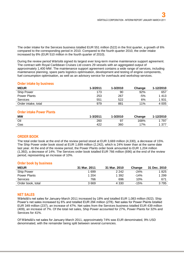The order intake for the Services business totalled EUR 551 million (522) in the first quarter, a growth of 6% compared to the corresponding period in 2010. Compared to the fourth quarter 2010, the order intake increased by 8% (EUR 510 million in the fourth quarter of 2010).

During the review period Wärtsilä signed its largest ever long-term marine maintenance support agreement. The contract with Royal Caribbean Cruises Ltd covers 29 vessels with an aggregated output of approximately 1,400 MW. The maintenance support agreement contains a wide range of services, including maintenance planning, spare parts logistics optimisation, development and testing of engine components, fuel consumption optimisation, as well as an advisory service for overhauls and workshop services.

# **Order intake by business**

| <b>MEUR</b>         | $1 - 3/2011$ | $1 - 3/2010$ | Change | 1-12/2010 |
|---------------------|--------------|--------------|--------|-----------|
| <b>Ship Power</b>   | 173          | 90           | 92%    | 657       |
| <b>Power Plants</b> | 253          | 267          | $-5%$  | 1413      |
| <b>Services</b>     | 551          | 522          | 6%     | 1931      |
| Order intake, total | 979          | 881          | 11%    | 4 0 0 5   |

# **Order intake Power Plants**

| <b>MW</b> | 1-3/2011 | 1-3/2010 | Change | 1-12/2010 |
|-----------|----------|----------|--------|-----------|
| Oil       | 260      | 97       | 168%   | 797       |
| Gas       | 422      | 360      | 17%    | 1 377     |

# **ORDER BOOK**

The total order book at the end of the review period stood at EUR 3,669 million (4,330), a decrease of 15%. The Ship Power order book stood at EUR 1,699 million (2,242), which is 24% lower than at the same date last year. At the end of the review period, the Power Plants order book amounted to EUR 1,204 million (1,392), a decrease of 14%. The Services order book totalled EUR 766 million (696) at the end of the review period, representing an increase of 10%.

# **Order book by business**

| <b>MEUR</b>       | 31 Mar. 2011 | 31 Mar. 2010 | <b>Change</b> | 31 Dec. 2010 |
|-------------------|--------------|--------------|---------------|--------------|
| Ship Power        | 1 699        | 2 2 4 2      | $-24%$        | 1825         |
| Power Plants      | 1 204        | 1 392        | $-14%$        | 1 2 9 9      |
| Services          | 766          | 696          | 10%           | 671          |
| Order book, total | 3669         | 4 3 3 0      | $-15%$        | 3795         |

# **NET SALES**

Wärtsilä's net sales for January-March 2011 increased by 18% and totalled EUR 1,083 million (922). Ship Power's net sales increased by 6% and totalled EUR 294 million (278). Net sales for Power Plants totalled EUR 349 million (237), an increase of 47%. Net sales from the Services business totalled EUR 439 million (409), an increase of 7%. Of the total net sales, Ship Power accounted for 27%, Power Plants for 32% and Services for 41%.

Of Wärtsilä's net sales for January-March 2011, approximately 74% was EUR denominated, 9% USD denominated, with the remainder being split between several currencies.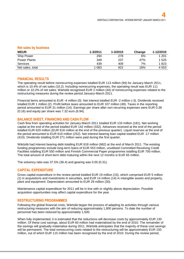#### **Net sales by business**

| <b>MEUR</b>         | $1 - 3/2011$ | $1 - 3/2010$ | Change | 1-12/2010 |
|---------------------|--------------|--------------|--------|-----------|
| Ship Power          | 294          | 278          | 6%     | 1 201     |
| <b>Power Plants</b> | 349          | 237          | 47%    | 1 5 2 5   |
| <b>Services</b>     | 439          | 409          | 7%     | 1823      |
| Net sales, total    | 083          | 922          | 18%    | 4 5 5 3   |

#### **FINANCIAL RESULTS**

The operating result before nonrecurring expenses totalled EUR 113 million (94) for January-March 2011, which is 10.4% of net sales (10.2). Including nonrecurring expenses, the operating result was EUR 111 million or 10.2% of net sales. Wärtsilä recognised EUR 2 million (44) of nonrecurring expenses related to the restructuring measures during the review period January-March 2011.

Financial items amounted to EUR -4 million (0). Net interest totalled EUR -2 million (-3). Dividends received totalled EUR 1 million (2). Profit before taxes amounted to EUR 107 million (49). Taxes in the reporting period amounted to EUR 31 million (14). Earnings per share after non-recurring expenses were EUR 0.38 (0.16) and equity per share was 7.32 euro (6.94).

#### **BALANCE SHEET, FINANCING AND CASH FLOW**

Cash flow from operating activities for January-March 2011 totalled EUR 133 million (181). Net working capital at the end of the period totalled EUR 142 million (332). Advances received at the end of the period totalled EUR 620 million (EUR 616 million at the end of the previous quarter). Liquid reserves at the end of the period amounted to EUR 619 million (252). Net interest-bearing loan capital totalled EUR -17 million (410). Dividends totalling EUR 271 million were paid during the first quarter.

Wärtsilä had interest bearing debt totalling EUR 618 million (682) at the end of March 2011. The existing funding programmes include long-term loans of EUR 553 million, unutilised Committed Revolving Credit Facilities totalling EUR 550 million and Finnish Commercial Paper programmes totalling EUR 700 million. The total amount of short-term debt maturing within the next 12 months is EUR 65 million.

The solvency ratio was 37.5% (36.4) and gearing was 0.00 (0.31).

#### **CAPITAL EXPENDITURE**

Gross capital expenditure in the review period totalled EUR 19 million (15), which comprised EUR 5 million (1) in acquisitions and investments in securities, and EUR 14 million (14) in intangible assets and property, plant and equipment. Depreciation amounted to EUR 29 million (30).

Maintenance capital expenditure for 2011 will be in line with or slightly above depreciation. Possible acquisition opportunities may affect capital expenditure for the year.

#### **RESTRUCTURING PROGRAMMES**

Following the global financial crisis, Wärtsilä began the process of adapting its activities through various restructuring measures with the aim of reducing approximately 1,800 persons. To date the number of personnel has been reduced by approximately 1,500.

When fully implemented, it is estimated that the reductions will decrease costs by approximately EUR 130 million. Of these cost savings, about EUR 60 million had materialised by the end of 2010. The remainder of the savings will gradually materialise during 2011. Wärtsilä anticipates that the majority of these cost savings will be permanent. The total nonrecurring costs related to the restructuring will be approximately EUR 150 million, out of which EUR 115 million has been recognised by the end of 2010. During the review period,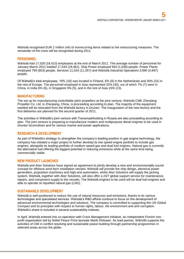Wärtsilä recognised EUR 2 million (44) of nonrecurring items related to the restructuring measures. The remainder of the costs will be recognised during 2011.

#### **PERSONNEL**

Wärtsilä had 17,526 (18,410) employees at the end of March 2011. The average number of personnel for January-March 2011 totalled 17,544 (18,481). Ship Power employed 943 (1,048) people. Power Plants employed 799 (853) people, Services 11,024 (11,357) and Wärtsilä Industrial Operations 3,990 (4,697) people.

Of Wärtsilä's total employees, 19% (18) was located in Finland, 6% (8) in the Netherlands and 30% (31) in the rest of Europe. The personnel employed in Asia represented 32% (30), out of which 7% (7) were in China, in India 6% (6), in Singapore 5% (5), and in the rest of Asia 15% (13).

#### **MANUFACTURING**

The set up for manufacturing controllable pitch propellers at the joint venture, Wärtsilä CME Zhenjiang Propeller Co. Ltd. in Zhenjiang, China, is proceeding according to plan. The majority of the equipment needed will be relocated from the Wärtsilä factory in Drunen. The inauguration of the new factory and the first deliveries are planned for the second quarter of 2011.

The activities in Wärtsilä's joint venture with Transmashholding in Russia are also proceeding according to plan. The joint venture is preparing to manufacture modern and multipurpose diesel engines to be used in shunter locomotives and for various marine and power applications.

# **RESEARCH & DEVELOPMENT**

As part of Wärtsilä's strategy to strengthen the company's leading position in gas engine technology, the company has initiated a major project to further develop its low speed engine portfolio to include gas engines, alongside its leading portfolio of medium speed gas and dual fuel engines. Natural gas is currently the alternative fuel offering the biggest potential in reducing emissions while at the same time being commercially viable.

#### **NEW PRODUCT LAUNCHES**

Wärtsilä and Aker Solutions have signed an agreement to jointly develop a new and environmentally sound concept for offshore wind farm installation vessels. Wärtsilä will provide the ship design, electrical power generation, propulsion machinery and high-end automation, whilst Aker Solutions will supply the jacking system. Wärtsilä, together with Aker Solutions, will also offer a 24/7 global support service for maintenance, repairs, and component supply to the vessels. The Wärtsilä engines to be used will be dual fuel engines and able to operate on liquefied natural gas (LNG).

#### **SUSTAINABLE DEVELOPMENT**

Wärtsilä is well positioned to reduce the use of natural resources and emissions, thanks to its various technologies and specialised services. Wärtsilä's R&D efforts continue to focus on the development of advanced environmental technologies and solutions. The company is committed to supporting the UN Global Compact and its principles with respect to human rights, labour, the environment and anti-corruption. Wärtsilä's share is included in several sustainability indexes.

In April, Wärtsilä entered into co-operation with Crisis Management Initiative, an independent Finnish nonprofit organisation led by Nobel Peace Prize laureate Martti Ahtisaari. As lead partner, Wärtsilä supports the activities of CMI in conflict resolving and sustainable peace building through partnership programmes in selected areas across the globe.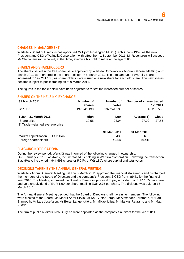#### **CHANGES IN MANAGEMENT**

Wärtsilä's Board of Directors has appointed Mr Björn Rosengren M.Sc. (Tech.), born 1959, as the new President and CEO of Wärtsilä Corporation, with effect from 1 September 2011. Mr Rosengren will succeed Mr Ole Johansson, who will, at that time, exercise his right to retire at the age of 60.

#### **SHARES AND SHAREHOLDERS**

The shares issued in the free share issue approved by Wärtsilä Corporation's Annual General Meeting on 3 March 2011 were entered in the share register on 8 March 2011. The total amount of Wärtsilä shares increased to 197,241,130, as shareholders were issued one new share for each old share. The new shares became subject to public trading as of 9 March 2011.

The figures in the table below have been adjusted to reflect the increased number of shares.

#### **SHARES ON THE HELSINKI EXCHANGE**

| 31 March 2011                                  | Number of<br>shares | Number of<br>votes | <b>Number of shares traded</b> | 1-3/2011     |
|------------------------------------------------|---------------------|--------------------|--------------------------------|--------------|
| WRT <sub>1</sub> V                             | 197 241 130         | 197 241 130        |                                | 43 265 553   |
| 1 Jan. -31 March 2011                          | High                | Low                | Average 1)                     | <b>Close</b> |
| Share price<br>1) Trade-weighted average price | 29.55               | 23.94              | 27.02                          | 27.55        |
|                                                |                     | 31 Mar. 2011       | 31 Mar. 2010                   |              |
| Market capitalisation, EUR million             |                     | 5433               | 3698                           |              |
| Foreign shareholders                           |                     | 49.4%              | 46.4%                          |              |

# **FLAGGING NOTIFICATIONS**

During the review period, Wärtsilä was informed of the following changes in ownership: On 5 January 2011, BlackRock, Inc. increased its holding in Wärtsilä Corporation. Following the transaction BlackRock, Inc owned 4,941,593 shares or 5.01% of Wärtsilä's share capital and total votes.

#### **DECISIONS TAKEN BY THE ANNUAL GENERAL MEETING**

Wärtsilä's Annual General Meeting held on 3 March 2011 approved the financial statements and discharged the members of the Board of Directors and the company's President & CEO from liability for the financial year 2010. The Meeting approved the Board of Directors' proposal to pay a dividend of EUR 1.75 per share and an extra dividend of EUR 1.00 per share, totalling EUR 2.75 per share. The dividend was paid on 15 March 2011.

The Annual General Meeting decided that the Board of Directors shall have nine members. The following were elected to the Board: Ms Maarit Aarni-Sirviö, Mr Kaj-Gustaf Bergh, Mr Alexander Ehrnrooth, Mr Paul Ehrnrooth, Mr Lars Josefsson, Mr Bertel Langenskiöld, Mr Mikael Lilius, Mr Markus Rauramo and Mr Matti Vuoria.

The firm of public auditors KPMG Oy Ab were appointed as the company's auditors for the year 2011.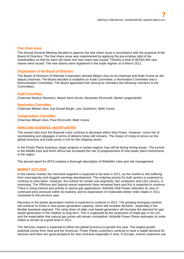## **Free share issue**

The Annual General Meeting decided to approve the free share issue in accordance with the proposal of the Board of Directors. The free share issue was implemented by applying the pre-emptive right of the shareholders so that for each old share one new share was issued. Thereby a total of 98,620,565 new shares were issued. The new shares were registered in the trade register on 8 March 2011.

#### **Organisation of the Board of Directors**

The Board of Directors of Wärtsilä Corporation elected Mikael Lilius as its chairman and Matti Vuoria as the deputy chairman. The Board decided to establish an Audit Committee, a Nomination Committee and a Remuneration Committee. The Board appointed from among its members the following members to the Committees:

#### **Audit Committee:**

Chairman Markus Rauramo, Maarit Aarni-Sirviö, Alexander Ehrnrooth, Bertel Langenskiöld

#### **Nomination Committee:**

Chairman Mikael Lilius, Kaj-Gustaf Bergh, Lars Josefsson, Matti Vuoria

#### **Compensation Committee:**

Chairman Mikael Lilius, Paul Ehrnrooth, Matti Vuoria

## **RISKS AND BUSINESS UNCERTAINTIES**

The overall risks from the financial crisis continue to decrease within Ship Power. However, some risk of rescheduling and slippages in terms of delivery times still remains. The impact of rising oil prices on the global economy and trade poses a risk for the shipping sector.

In the Power Plants business, larger projects in certain regions may still be facing timing issues. The turmoil in the Middle East and North Africa has increased the risk of postponement of new power plant investments in the region.

The annual report for 2010 contains a thorough description of Wärtsilä's risks and risk management.

# **MARKET OUTLOOK**

In the marine market, the merchant segment is expected to be slow in 2011, as the market is still suffering from overcapacity and sluggish earnings development. The ordering activity for bulk carriers is expected to continue to slow down. However, the outlook for certain sub-segments, like containers and LNG carriers, is improving. The Offshore and Special vessel segments have remained lively and this is expected to continue. There is rising interest and activity in natural gas applications. Wärtsilä Ship Power reiterates its view of continued price pressure within its markets, and its expectation of moderately better order intake in 2011 compared to the previous year.

Recovery in the power generation market is expected to continue in 2011. The growing emerging markets will continue to invest in new power generation capacity, which will increase demand - especially in the flexible baseload segment. The ramp down of older coal based generation will increase the demand for gas based generation in the medium to long term. This is supported by the production of shale gas in the US, and the expectation that natural gas prices will remain competitive. Wärtsilä Power Plants estimates its order intake to remain at a good level in 2011.

The Services market is expected to follow the global economy to growth this year. The largest growth potential comes from Asia and the Americas. Power Plants customers continue to have a stable demand for services and there are good prospects for new contracts especially in Asia. In Europe, marine customers are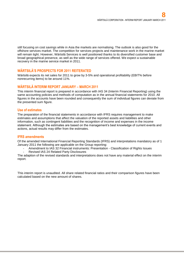still focusing on cost savings while in Asia the markets are normalising. The outlook is also good for the offshore services market. The competition for services projects and maintenance work in the marine market will remain tight. However, Wärtsilä Services is well positioned thanks to its diversified customer base and broad geographical presence, as well as the wide range of services offered. We expect a sustainable recovery in the marine service market in 2011.

# **WÄRTSILÄ'S PROSPECTS FOR 2011 REITERATED**

Wärtsilä expects its net sales for 2011 to grow by 3-5% and operational profitability (EBIT% before nonrecurring items) to be around 11%.

# **WÄRTSILÄ INTERIM REPORT JANUARY – MARCH 2011**

This interim financial report is prepared in accordance with IAS 34 (Interim Financial Reporting) using the same accounting policies and methods of computation as in the annual financial statements for 2010. All figures in the accounts have been rounded and consequently the sum of individual figures can deviate from the presented sum figure.

#### **Use of estimates**

The preparation of the financial statements in accordance with IFRS requires management to make estimates and assumptions that affect the valuation of the reported assets and liabilities and other information, such as contingent liabilities and the recognition of income and expenses in the income statement. Although the estimates are based on the management's best knowledge of current events and actions, actual results may differ from the estimates.

#### **IFRS amendments**

Of the amended International Financial Reporting Standards (IFRS) and interpretations mandatory as of 1 January 2011 the following are applicable on the Group reporting:

- Amendment to IAS 32 Financial instruments: Presentation Classification of Rights Issues
- Revised IAS 24 Related Party Disclosures

The adaption of the revised standards and interpretations does not have any material effect on the interim report.

This interim report is unaudited. All share related financial ratios and their comparison figures have been calculated based on the new amount of shares.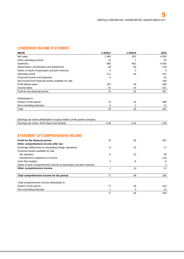# **CONDENSED INCOME STATEMENT**

| <b>MEUR</b>                                         | 1-3/2011 | 1-3/2010 | 2010    |
|-----------------------------------------------------|----------|----------|---------|
| Net sales                                           | 1 0 8 3  | 922      | 4 5 5 3 |
| Other operating income                              | 10       |          | 52      |
| Expenses                                            | $-956$   | -851     | -4 082  |
| Depreciation, amortisation and impairment           | $-29$    | $-30$    | $-116$  |
| Share of result of associates and joint ventures    | 3        | 2        | 5       |
| Operating result                                    | 111      | 49       | 412     |
| Financial income and expenses                       | $-4$     |          | $-13$   |
| Net income from financial assets available for sale |          |          | 149     |
| Profit before taxes                                 | 107      | 49       | 548     |
| Income taxes                                        | $-31$    | $-14$    | $-151$  |
| Profit for the financial period                     | 76       | 35       | 397     |
| Attributable to:                                    |          |          |         |
| Owners of the parent                                | 74       | 32       | 389     |
| Non-controlling interests                           | 2        | 2        | 11      |
| Total                                               | 76       | 35       | 397     |
|                                                     |          |          |         |

| Earnings per share attributable to equity holders of the parent company: |      |     |
|--------------------------------------------------------------------------|------|-----|
| Earnings per share, EUR (basic and diluted)                              | ).38 | .96 |
|                                                                          |      |     |

# **STATEMENT OF COMPREHENSIVE INCOME**

| Profit for the financial period                                      | 76 | 35 | 397    |
|----------------------------------------------------------------------|----|----|--------|
| Other comprehensive income after tax:                                |    |    |        |
|                                                                      |    |    |        |
| Exchange differences on translating foreign operations               | -9 | 13 | 17     |
| Financial assets available for sale                                  |    |    |        |
| fair valuation                                                       | 6  | 10 | 30     |
| transferred to statement of income                                   |    |    | $-110$ |
| Cash flow hedges                                                     | 4  | -9 | -9     |
| Share of other comprehensive income of associates and joint ventures |    |    |        |
| Other comprehensive income                                           |    | 13 | $-71$  |
| Total comprehensive income for the period                            | 77 | 48 | 326    |
| Total comprehensive income attributable to:                          |    |    |        |
| Owners of the parent                                                 | 77 | 45 | 313    |
| Non-controlling interests                                            |    | 3  | 13     |
|                                                                      | 77 | 48 | 326    |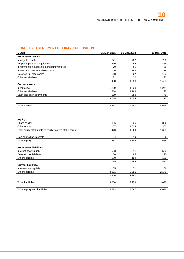# **CONDENSED STATEMENT OF FINANCIAL POSITION**

| <b>MEUR</b>                                  | 31 Mar. 2011 | 31 Mar. 2010 | 31 Dec. 2010 |
|----------------------------------------------|--------------|--------------|--------------|
| <b>Non-current assets</b>                    |              |              |              |
| Intangible assets                            | 771          | 782          | 780          |
| Property, plant and equipment                | 440          | 456          | 466          |
| Investments in associates and joint ventures | 70           | 61           | 65           |
| Financial assets available for sale          | 26           | 166          | 18           |
| Deferred tax receivables                     | 118          | 97           | 122          |
| Other receivables                            | 32           | 30           | 32           |
|                                              | 1458         | 1 5 9 3      | 1483         |
| <b>Current assets</b>                        |              |              |              |
| Inventories                                  | 1 2 3 9      | 1 633        | 1 2 4 4      |
| Other receivables                            | 1 2 1 8      | 1 1 6 9      | 1 1 9 2      |
| Cash and cash equivalents                    | 619          | 252          | 776          |
|                                              | 3075         | 3 0 5 4      | 3 2 1 3      |
| <b>Total assets</b>                          | 4 5 3 3      | 4647         | 4696         |

#### **Equity**

| 336     | 336     | 336     |
|---------|---------|---------|
| 1 1 0 7 | 1 0 3 3 | 1 302   |
| 1 4 4 3 | 1 3 6 9 | 1 6 3 8 |
|         |         |         |
| 24      | 19      | 26      |
| 1 4 6 7 | 1 3 8 8 | 1664    |
|         |         |         |
|         |         |         |
| 553     | 611     | 572     |
| 66      | 95      | 70      |
| 180     | 192     | 189     |
| 799     | 898     | 831     |
|         |         |         |
| 65      | 71      | 56      |
| 2 2 0 1 | 2 2 9 0 | 2 1 4 5 |
| 2 2 6 6 | 2 3 6 1 | 2 2 0 1 |
|         |         |         |
| 3 0 6 6 | 3 2 5 9 | 3 0 3 2 |
|         |         |         |
| 4 5 3 3 | 4647    | 4696    |
|         |         |         |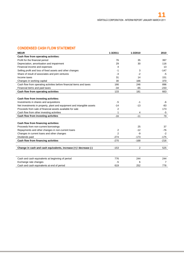# **CONDENSED CASH FLOW STATEMENT**

| <b>MEUR</b>                                                            | 1-3/2011       | 1-3/2010 | 2010   |
|------------------------------------------------------------------------|----------------|----------|--------|
| Cash flow from operating activities:                                   |                |          |        |
| Profit for the financial period                                        | 76             | 35       | 397    |
| Depreciation, amortisation and impairment                              | 29             | 30       | 116    |
| Financial income and expenses                                          | 4              |          | 13     |
| Selling profit and loss of fixed assets and other changes              | -1             | 3        | $-147$ |
| Share of result of associates and joint ventures                       | $-3$           | $-2$     | -5     |
| Income taxes                                                           | 31             | 14       | 151    |
| Changes in working capital                                             | 30             | 166      | 370    |
| Cash flow from operating activities before financial items and taxes   | 166            | 246      | 896    |
| Financial items and paid taxes                                         | $-34$          | $-65$    | $-233$ |
| Cash flow from operating activities                                    | 133            | 181      | 663    |
|                                                                        |                |          |        |
| Cash flow from investing activities:                                   |                |          |        |
| Investments in shares and acquisitions                                 | -5             | $-1$     | -6     |
| Net investments in property, plant and equipment and intangible assets | $-14$          | $-13$    | -83    |
| Proceeds from sale of financial assets available for sale              | 2              |          | 173    |
| Cash flow from other investing activities                              | 1              | 4        | $-5$   |
| Cash flow from investing activities                                    | $-16$          | $-11$    | 79     |
|                                                                        |                |          |        |
| Cash flow from financing activities:                                   |                |          |        |
| Proceeds from non-current borrowings                                   |                | 25       | 37     |
| Repayments and other changes in non-current loans                      | 2              | $-12$    | -76    |
| Changes in current loans and other changes                             | $\overline{2}$ | -9       | $-2$   |
| Dividends paid                                                         | $-274$         | $-173$   | $-175$ |
| Cash flow from financing activities                                    | $-270$         | $-168$   | $-216$ |
|                                                                        |                |          |        |
| Change in cash and cash equivalents, increase (+) / decrease (-)       | $-153$         | 2        | 525    |
|                                                                        |                |          |        |
|                                                                        |                |          |        |
| Cash and cash equivalents at beginning of period                       | 776            | 244      | 244    |
| Exchange rate changes                                                  | $-5$           | 6        | 7      |
| Cash and cash equivalents at end of period                             | 619            | 252      | 776    |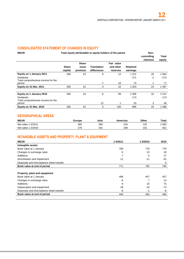# **CONSOLIDATED STATEMENT OF CHANGES IN EQUITY**

| <b>MEUR</b>                                  |              | Total equity attributable to equity holders of the parent |                    | Non-                    |                 |                          |                 |
|----------------------------------------------|--------------|-----------------------------------------------------------|--------------------|-------------------------|-----------------|--------------------------|-----------------|
|                                              |              |                                                           |                    |                         |                 | controlling<br>interests | Total<br>equity |
|                                              | <b>Share</b> | <b>Share</b><br>issue                                     | <b>Translation</b> | Fair value<br>and other | <b>Retained</b> |                          |                 |
|                                              | capital      | premium                                                   | differences        | reserves                | earnings        |                          |                 |
| Equity on 1 January 2011                     | 336          | 61                                                        | 8                  | 12                      | 1 2 2 1         | 26                       | 1664            |
| <b>Dividends</b>                             |              |                                                           |                    |                         | $-271$          | $-2$                     | $-273$          |
| Total comprehensive income for the<br>period |              |                                                           | $-7$               | 10                      | 74              | 1                        | 77              |
| Equity on 31 Mar. 2011                       | 336          | 61                                                        | 0                  | 22                      | 1 0 2 3         | 24                       | 1 4 6 7         |
|                                              |              |                                                           |                    |                         |                 |                          |                 |
| Equity on 1 January 2010                     | 336          | 61                                                        | -6                 | 99                      | 1 0 0 6         | 16                       | 1512            |
| <b>Dividends</b>                             |              |                                                           |                    |                         | $-173$          |                          | -173            |
| Total comprehensive income for the           |              |                                                           |                    |                         |                 |                          |                 |
| period                                       |              |                                                           | 12                 |                         | 33              | 3                        | 48              |
| Equity on 31 Mar. 2010                       | 336          | 61                                                        | 6                  | 100                     | 866             | 19                       | 1 3 8 8         |

# **GEOGRAPHICAL AREAS**

| <b>MEUR</b>        | Europe | Asia | Americas  | Other                    | Total |
|--------------------|--------|------|-----------|--------------------------|-------|
| Net sales 1-3/2011 | 385    | 369  | 226<br>__ | 10 <sup>o</sup><br>1 V 4 | 083   |
| Net sales 1-3/2010 | 279    | 342  | 199       | 101                      | 922   |

# **INTANGIBLE ASSETS AND PROPERTY, PLANT & EQUIPMENT**

| <b>MEUR</b>                                | 1-3/2011 | 1-3/2010 | 2010  |
|--------------------------------------------|----------|----------|-------|
| Intangible assets                          |          |          |       |
| Book value at 1 January                    | 780      | 779      | 779   |
| Changes in exchange rates                  | -5       | 10       | 20    |
| Additions                                  | 7        | 5        | 17    |
| Amortisation and impairment                | $-11$    | $-11$    | -42   |
| Disposals and intra-balance sheet transfer |          |          | 6     |
| Book value at end of period                | 771      | 782      | 780   |
|                                            |          |          |       |
| Property, plant and equipment              |          |          |       |
| Book value at 1 January                    | 466      | 457      | 457   |
| Changes in exchange rates                  | -6       |          | 14    |
| Additions                                  | 8        | 10       | 75    |
| Depreciation and impairment                | $-18$    | $-18$    | $-73$ |
| Disposals and intra-balance sheet transfer | -8       | -1       | -6    |
| Book value at end of period                | 440      | 456      | 466   |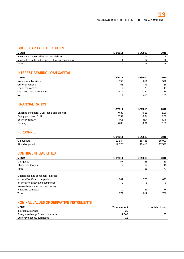# **GROSS CAPITAL EXPENDITURE**

| <b>MEUR</b>                                         | 1-3/2011       | 1-3/2010       | 2010 |
|-----------------------------------------------------|----------------|----------------|------|
| Investments in securities and acquisitions          |                |                |      |
| Intangible assets and property, plant and equipment | $\overline{a}$ | $\overline{a}$ | 92   |
| Total                                               | 19             | ם ו            | 98   |

# **INTEREST-BEARING LOAN CAPITAL**

| <b>MEUR</b>                | 1-3/2011 | 1-3/2010 | 2010  |
|----------------------------|----------|----------|-------|
| Non-current liabilities    | 553      | 611      | 572   |
| <b>Current liabilities</b> | 65       | 71       | 56    |
| Loan receivables           | $-17$    | $-20$    | $-17$ |
| Cash and cash equivalents  | $-619$   | $-252$   | -776  |
| <b>Net</b>                 | $-17$    | 410      | -165  |

# **FINANCIAL RATIOS**

|                                             | 1-3/2011 | 1-3/2010 | 2010    |
|---------------------------------------------|----------|----------|---------|
| Earnings per share, EUR (basic and diluted) | 0.38     | 0.16     | 1.96    |
| Equity per share, EUR                       | 7.32     | 6.94     | 7.59    |
| Solvency ratio, %                           | 37.5     | 36.4     | 40.8    |
| Gearing                                     | 0.00     | 0.31     | $-0.09$ |

# **PERSONNEL**

|                  | $1 - 3/2011$ | 1-3/2010 | 2010   |
|------------------|--------------|----------|--------|
| On average       | 7 544        | 18 4 81  | 18 000 |
| At end of period | 17 526       | 18 410   | 528    |

# **CONTINGENT LIABILITIES**

| <b>MEUR</b>                           | 1-3/2011 | 1-3/2010 | 2010 |
|---------------------------------------|----------|----------|------|
| Mortgages                             | 57       | 56       | 59   |
| Chattel mortgages                     | 17       | 12       | 18   |
| Total                                 | 74       | 68       | 77   |
|                                       |          |          |      |
| Guarantees and contingent liabilities |          |          |      |
| on behalf of Group companies          | 601      | 723      | 623  |
| on behalf of associated companies     | 9        | 8        | 9    |
| Nominal amount of rents according     |          |          |      |
| to leasing contracts                  | 70       | 81       | 74   |
| <b>Total</b>                          | 679      | 812      | 706  |

# **NOMINAL VALUES OF DERIVATIVE INSTRUMENTS**

| <b>MEUR</b>                        | <b>Total amount</b> | of which closed |
|------------------------------------|---------------------|-----------------|
| Interest rate swaps                | 20                  |                 |
| Foreign exchange forward contracts | l 007               | 135             |
| Currency options, purchased        | 12                  |                 |